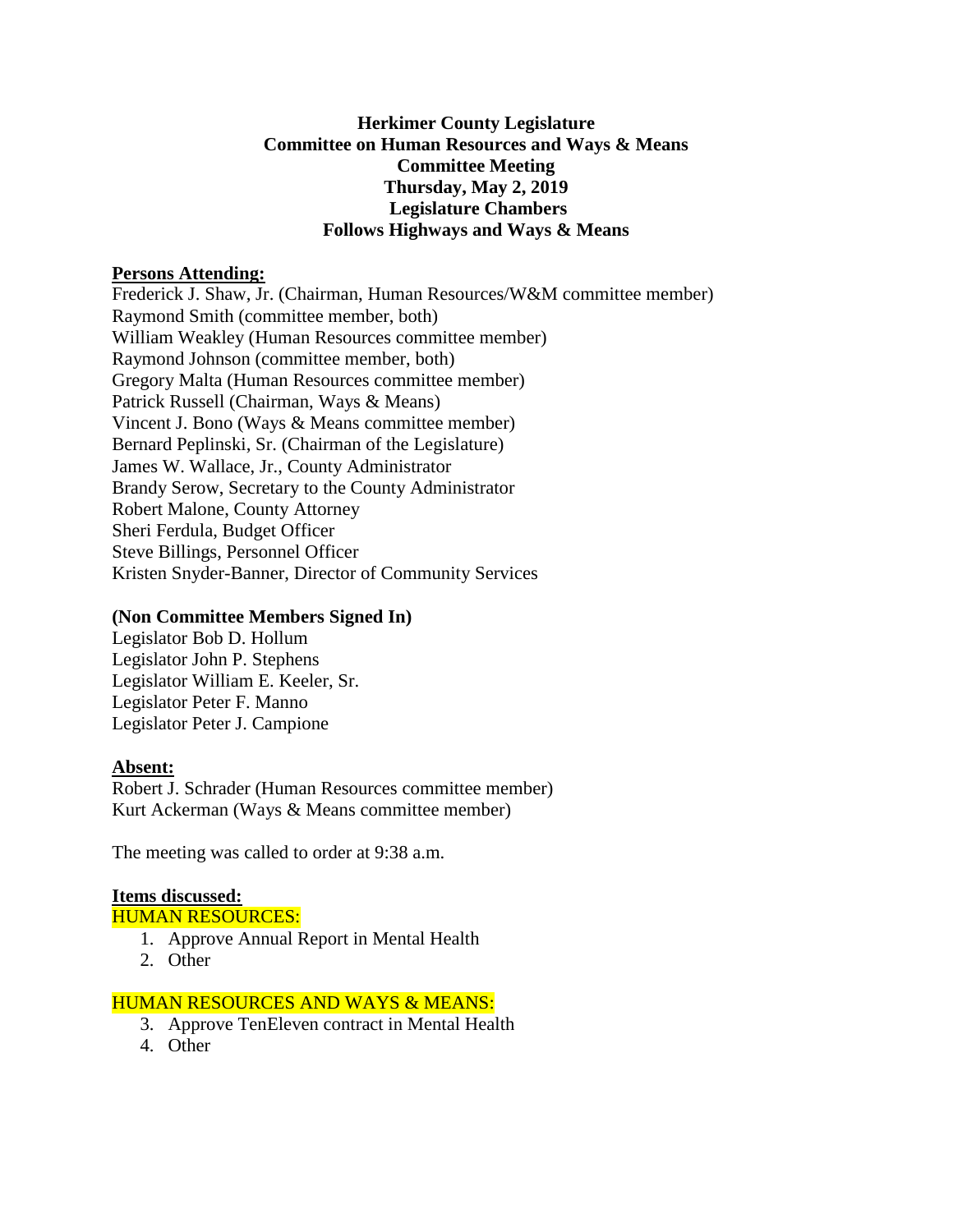# **Herkimer County Legislature Committee on Human Resources and Ways & Means Committee Meeting Thursday, May 2, 2019 Legislature Chambers Follows Highways and Ways & Means**

#### **Persons Attending:**

Frederick J. Shaw, Jr. (Chairman, Human Resources/W&M committee member) Raymond Smith (committee member, both) William Weakley (Human Resources committee member) Raymond Johnson (committee member, both) Gregory Malta (Human Resources committee member) Patrick Russell (Chairman, Ways & Means) Vincent J. Bono (Ways & Means committee member) Bernard Peplinski, Sr. (Chairman of the Legislature) James W. Wallace, Jr., County Administrator Brandy Serow, Secretary to the County Administrator Robert Malone, County Attorney Sheri Ferdula, Budget Officer Steve Billings, Personnel Officer Kristen Snyder-Banner, Director of Community Services

# **(Non Committee Members Signed In)**

Legislator Bob D. Hollum Legislator John P. Stephens Legislator William E. Keeler, Sr. Legislator Peter F. Manno Legislator Peter J. Campione

# **Absent:**

Robert J. Schrader (Human Resources committee member) Kurt Ackerman (Ways & Means committee member)

The meeting was called to order at 9:38 a.m.

# **Items discussed:**

HUMAN RESOURCES:

- 1. Approve Annual Report in Mental Health
- 2. Other

# HUMAN RESOURCES AND WAYS & MEANS:

- 3. Approve TenEleven contract in Mental Health
- 4. Other